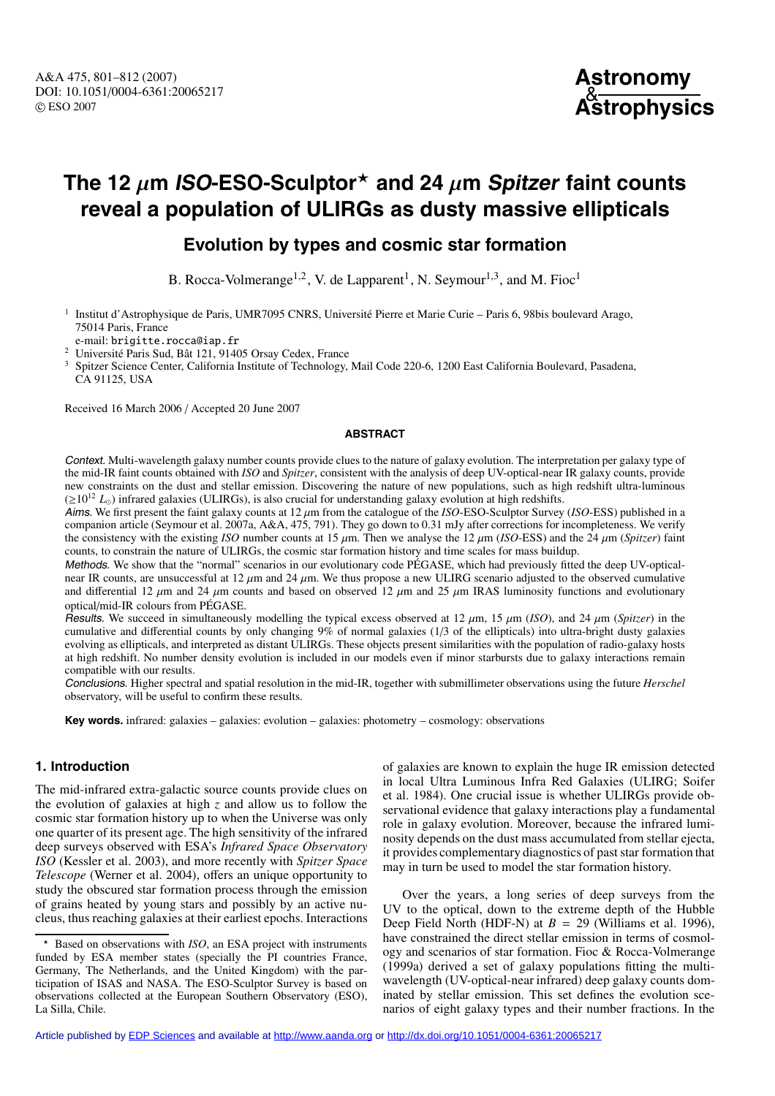

# **The 12**  $\mu$ **m ISO-ESO-Sculptor**<sup>\*</sup> and 24  $\mu$ m Spitzer faint counts **reveal a population of ULIRGs as dusty massive ellipticals**

# **Evolution by types and cosmic star formation**

B. Rocca-Volmerange<sup>1,2</sup>, V. de Lapparent<sup>1</sup>, N. Seymour<sup>1,3</sup>, and M. Fioc<sup>1</sup>

<sup>1</sup> Institut d'Astrophysique de Paris, UMR7095 CNRS, Université Pierre et Marie Curie – Paris 6, 98bis boulevard Arago, 75014 Paris, France<br>e-mail: brigitte.rocca@iap.fr

<sup>2</sup> Université Paris Sud, Bât 121, 91405 Orsay Cedex, France

<sup>3</sup> Spitzer Science Center, California Institute of Technology, Mail Code 220-6, 1200 East California Boulevard, Pasadena, CA 91125, USA

Received 16 March 2006 / Accepted 20 June 2007

#### **ABSTRACT**

Context. Multi-wavelength galaxy number counts provide clues to the nature of galaxy evolution. The interpretation per galaxy type of the mid-IR faint counts obtained with *ISO* and *Spitzer*, consistent with the analysis of deep UV-optical-near IR galaxy counts, provide new constraints on the dust and stellar emission. Discovering the nature of new populations, such as high redshift ultra-luminous  $(\geq 10^{12} L_{\odot})$  infrared galaxies (ULIRGs), is also crucial for understanding galaxy evolution at high redshifts.

Aims. We first present the faint galaxy counts at 12 µm from the catalogue of the *ISO*-ESO-Sculptor Survey (*ISO*-ESS) published in a companion article (Seymour et al. 2007a, A&A, 475, 791). They go down to 0.31 mJy after corrections for incompleteness. We verify the consistency with the existing *ISO* number counts at 15  $\mu$ m. Then we analyse the 12  $\mu$ m (*ISO*-ESS) and the 24  $\mu$ m (*Spitzer*) faint counts, to constrain the nature of ULIRGs, the cosmic star formation history and time scales for mass buildup.

Methods. We show that the "normal" scenarios in our evolutionary code PÉGASE, which had previously fitted the deep UV-opticalnear IR counts, are unsuccessful at 12  $\mu$ m and 24  $\mu$ m. We thus propose a new ULIRG scenario adjusted to the observed cumulative and differential 12  $\mu$ m and 24  $\mu$ m counts and based on observed 12  $\mu$ m and 25  $\mu$ m IRAS luminosity functions and evolutionary optical/mid-IR colours from PÉGASE.

Results. We succeed in simultaneously modelling the typical excess observed at 12  $\mu$ m, 15  $\mu$ m (*ISO*), and 24  $\mu$ m (*Spitzer*) in the cumulative and differential counts by only changing 9% of normal galaxies (1/3 of the ellipticals) into ultra-bright dusty galaxies evolving as ellipticals, and interpreted as distant ULIRGs. These objects present similarities with the population of radio-galaxy hosts at high redshift. No number density evolution is included in our models even if minor starbursts due to galaxy interactions remain compatible with our results.

Conclusions. Higher spectral and spatial resolution in the mid-IR, together with submillimeter observations using the future *Herschel* observatory, will be useful to confirm these results.

**Key words.** infrared: galaxies – galaxies: evolution – galaxies: photometry – cosmology: observations

# **1. Introduction**

The mid-infrared extra-galactic source counts provide clues on the evolution of galaxies at high *z* and allow us to follow the cosmic star formation history up to when the Universe was only one quarter of its present age. The high sensitivity of the infrared deep surveys observed with ESA's *Infrared Space Observatory ISO* (Kessler et al. 2003), and more recently with *Spitzer Space Telescope* (Werner et al. 2004), offers an unique opportunity to study the obscured star formation process through the emission of grains heated by young stars and possibly by an active nucleus, thus reaching galaxies at their earliest epochs. Interactions of galaxies are known to explain the huge IR emission detected in local Ultra Luminous Infra Red Galaxies (ULIRG; Soifer et al. 1984). One crucial issue is whether ULIRGs provide observational evidence that galaxy interactions play a fundamental role in galaxy evolution. Moreover, because the infrared luminosity depends on the dust mass accumulated from stellar ejecta, it provides complementary diagnostics of past star formation that may in turn be used to model the star formation history.

Over the years, a long series of deep surveys from the UV to the optical, down to the extreme depth of the Hubble Deep Field North (HDF-N) at  $B = 29$  (Williams et al. 1996), have constrained the direct stellar emission in terms of cosmology and scenarios of star formation. Fioc & Rocca-Volmerange (1999a) derived a set of galaxy populations fitting the multiwavelength (UV-optical-near infrared) deep galaxy counts dominated by stellar emission. This set defines the evolution scenarios of eight galaxy types and their number fractions. In the

Based on observations with *ISO*, an ESA project with instruments funded by ESA member states (specially the PI countries France, Germany, The Netherlands, and the United Kingdom) with the participation of ISAS and NASA. The ESO-Sculptor Survey is based on observations collected at the European Southern Observatory (ESO), La Silla, Chile.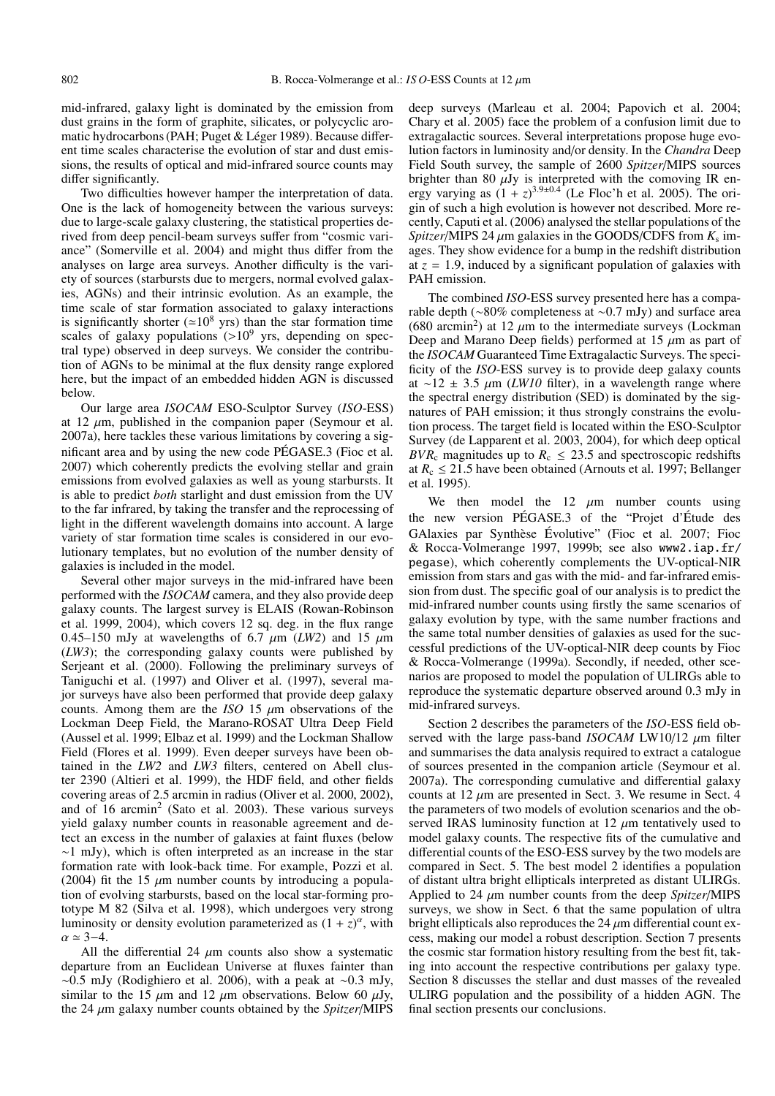mid-infrared, galaxy light is dominated by the emission from dust grains in the form of graphite, silicates, or polycyclic aromatic hydrocarbons (PAH; Puget & Léger 1989). Because different time scales characterise the evolution of star and dust emissions, the results of optical and mid-infrared source counts may differ significantly.

Two difficulties however hamper the interpretation of data. One is the lack of homogeneity between the various surveys: due to large-scale galaxy clustering, the statistical properties derived from deep pencil-beam surveys suffer from "cosmic variance" (Somerville et al. 2004) and might thus differ from the analyses on large area surveys. Another difficulty is the variety of sources (starbursts due to mergers, normal evolved galaxies, AGNs) and their intrinsic evolution. As an example, the time scale of star formation associated to galaxy interactions is significantly shorter ( $\approx 10^8$  yrs) than the star formation time scales of galaxy populations  $(>10^9$  yrs, depending on spectral type) observed in deep surveys. We consider the contribution of AGNs to be minimal at the flux density range explored here, but the impact of an embedded hidden AGN is discussed below.

Our large area *ISOCAM* ESO-Sculptor Survey (*ISO*-ESS) at 12  $\mu$ m, published in the companion paper (Seymour et al. 2007a), here tackles these various limitations by covering a significant area and by using the new code PÉGASE.3 (Fioc et al. 2007) which coherently predicts the evolving stellar and grain emissions from evolved galaxies as well as young starbursts. It is able to predict *both* starlight and dust emission from the UV to the far infrared, by taking the transfer and the reprocessing of light in the different wavelength domains into account. A large variety of star formation time scales is considered in our evolutionary templates, but no evolution of the number density of galaxies is included in the model.

Several other major surveys in the mid-infrared have been performed with the *ISOCAM* camera, and they also provide deep galaxy counts. The largest survey is ELAIS (Rowan-Robinson et al. 1999, 2004), which covers 12 sq. deg. in the flux range 0.45–150 mJy at wavelengths of 6.7  $\mu$ m (*LW2*) and 15  $\mu$ m (*LW3*); the corresponding galaxy counts were published by Serjeant et al. (2000). Following the preliminary surveys of Taniguchi et al. (1997) and Oliver et al. (1997), several major surveys have also been performed that provide deep galaxy counts. Among them are the *ISO* 15  $\mu$ m observations of the Lockman Deep Field, the Marano-ROSAT Ultra Deep Field (Aussel et al. 1999; Elbaz et al. 1999) and the Lockman Shallow Field (Flores et al. 1999). Even deeper surveys have been obtained in the *LW2* and *LW3* filters, centered on Abell cluster 2390 (Altieri et al. 1999), the HDF field, and other fields covering areas of 2.5 arcmin in radius (Oliver et al. 2000, 2002), and of  $16$  arcmin<sup>2</sup> (Sato et al. 2003). These various surveys yield galaxy number counts in reasonable agreement and detect an excess in the number of galaxies at faint fluxes (below ∼1 mJy), which is often interpreted as an increase in the star formation rate with look-back time. For example, Pozzi et al. (2004) fit the 15  $\mu$ m number counts by introducing a population of evolving starbursts, based on the local star-forming prototype M 82 (Silva et al. 1998), which undergoes very strong luminosity or density evolution parameterized as  $(1 + z)^{\alpha}$ , with  $\alpha \simeq 3-4.$ 

All the differential 24  $\mu$ m counts also show a systematic departure from an Euclidean Universe at fluxes fainter than  $~\sim 0.5$  mJy (Rodighiero et al. 2006), with a peak at  $~\sim 0.3$  mJy, similar to the 15  $\mu$ m and 12  $\mu$ m observations. Below 60  $\mu$ Jy, the 24 µm galaxy number counts obtained by the *Spitzer*/MIPS

deep surveys (Marleau et al. 2004; Papovich et al. 2004; Chary et al. 2005) face the problem of a confusion limit due to extragalactic sources. Several interpretations propose huge evolution factors in luminosity and/or density. In the *Chandra* Deep Field South survey, the sample of 2600 *Spitzer*/MIPS sources brighter than 80  $\mu$ Jy is interpreted with the comoving IR energy varying as  $(1 + z)^{3.9\pm0.4}$  (Le Floc'h et al. 2005). The origin of such a high evolution is however not described. More recently, Caputi et al. (2006) analysed the stellar populations of the *Spitzer*/MIPS 24  $\mu$ m galaxies in the GOODS/CDFS from  $K_s$  images. They show evidence for a bump in the redshift distribution at  $z = 1.9$ , induced by a significant population of galaxies with PAH emission.

The combined *ISO*-ESS survey presented here has a comparable depth (∼80% completeness at ∼0.7 mJy) and surface area (680 arcmin<sup>2</sup>) at 12  $\mu$ m to the intermediate surveys (Lockman Deep and Marano Deep fields) performed at 15  $\mu$ m as part of the *ISOCAM* Guaranteed Time Extragalactic Surveys. The specificity of the *ISO*-ESS survey is to provide deep galaxy counts at ∼12 ± 3.5 µm (*LW10* filter), in a wavelength range where the spectral energy distribution (SED) is dominated by the signatures of PAH emission; it thus strongly constrains the evolution process. The target field is located within the ESO-Sculptor Survey (de Lapparent et al. 2003, 2004), for which deep optical *BVR<sub>c</sub>* magnitudes up to  $R_c \le 23.5$  and spectroscopic redshifts at  $R_c \leq 21.5$  have been obtained (Arnouts et al. 1997; Bellanger et al. 1995).

We then model the 12  $\mu$ m number counts using the new version PÉGASE.3 of the "Projet d'Étude des GAlaxies par Synthèse Évolutive" (Fioc et al. 2007; Fioc & Rocca-Volmerange 1997, 1999b; see also www2.iap.fr/ pegase), which coherently complements the UV-optical-NIR emission from stars and gas with the mid- and far-infrared emission from dust. The specific goal of our analysis is to predict the mid-infrared number counts using firstly the same scenarios of galaxy evolution by type, with the same number fractions and the same total number densities of galaxies as used for the successful predictions of the UV-optical-NIR deep counts by Fioc & Rocca-Volmerange (1999a). Secondly, if needed, other scenarios are proposed to model the population of ULIRGs able to reproduce the systematic departure observed around 0.3 mJy in mid-infrared surveys.

Section 2 describes the parameters of the *ISO*-ESS field observed with the large pass-band *ISOCAM* LW10/12  $\mu$ m filter and summarises the data analysis required to extract a catalogue of sources presented in the companion article (Seymour et al. 2007a). The corresponding cumulative and differential galaxy counts at  $12 \mu m$  are presented in Sect. 3. We resume in Sect. 4 the parameters of two models of evolution scenarios and the observed IRAS luminosity function at 12  $\mu$ m tentatively used to model galaxy counts. The respective fits of the cumulative and differential counts of the ESO-ESS survey by the two models are compared in Sect. 5. The best model 2 identifies a population of distant ultra bright ellipticals interpreted as distant ULIRGs. Applied to 24 µm number counts from the deep *Spitzer*/MIPS surveys, we show in Sect. 6 that the same population of ultra bright ellipticals also reproduces the  $24 \mu m$  differential count excess, making our model a robust description. Section 7 presents the cosmic star formation history resulting from the best fit, taking into account the respective contributions per galaxy type. Section 8 discusses the stellar and dust masses of the revealed ULIRG population and the possibility of a hidden AGN. The final section presents our conclusions.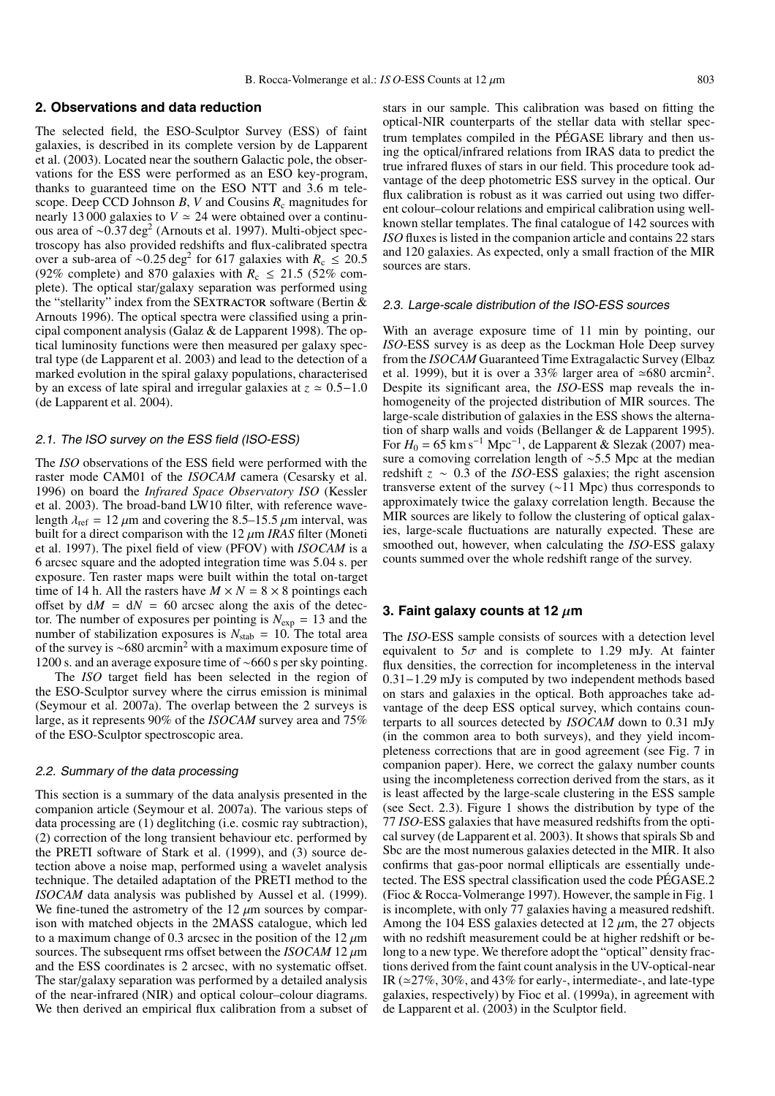#### **2. Observations and data reduction**

The selected field, the ESO-Sculptor Survey (ESS) of faint galaxies, is described in its complete version by de Lapparent et al. (2003). Located near the southern Galactic pole, the observations for the ESS were performed as an ESO key-program, thanks to guaranteed time on the ESO NTT and 3.6 m telescope. Deep CCD Johnson  $B$ ,  $V$  and Cousins  $R_c$  magnitudes for nearly 13 000 galaxies to  $V \approx 24$  were obtained over a continuous area of ~0.37 deg<sup>2</sup> (Arnouts et al. 1997). Multi-object spectroscopy has also provided redshifts and flux-calibrated spectra over a sub-area of ~0.25 deg<sup>2</sup> for 617 galaxies with  $R_c \le 20.5$ (92% complete) and 870 galaxies with  $R_c \le 21.5$  (52% complete). The optical star/galaxy separation was performed using the "stellarity" index from the SEXTRACTOR software (Bertin  $&$ Arnouts 1996). The optical spectra were classified using a principal component analysis (Galaz & de Lapparent 1998). The optical luminosity functions were then measured per galaxy spectral type (de Lapparent et al. 2003) and lead to the detection of a marked evolution in the spiral galaxy populations, characterised by an excess of late spiral and irregular galaxies at  $z \approx 0.5-1.0$ (de Lapparent et al. 2004).

#### 2.1. The ISO survey on the ESS field (ISO-ESS)

The *ISO* observations of the ESS field were performed with the raster mode CAM01 of the *ISOCAM* camera (Cesarsky et al. 1996) on board the *Infrared Space Observatory ISO* (Kessler et al. 2003). The broad-band LW10 filter, with reference wavelength  $\lambda_{\text{ref}} = 12 \,\mu\text{m}$  and covering the 8.5–15.5  $\mu$ m interval, was built for a direct comparison with the  $12 \mu m$  *IRAS* filter (Moneti et al. 1997). The pixel field of view (PFOV) with *ISOCAM* is a 6 arcsec square and the adopted integration time was 5.04 s. per exposure. Ten raster maps were built within the total on-target time of 14 h. All the rasters have  $M \times N = 8 \times 8$  pointings each offset by  $dM = dN = 60$  arcsec along the axis of the detector. The number of exposures per pointing is  $N_{exp} = 13$  and the number of stabilization exposures is  $N_{stab} = 10$ . The total area of the survey is ∼680 arcmin<sup>2</sup> with a maximum exposure time of 1200 s. and an average exposure time of ∼660 s per sky pointing.

The *ISO* target field has been selected in the region of the ESO-Sculptor survey where the cirrus emission is minimal (Seymour et al. 2007a). The overlap between the 2 surveys is large, as it represents 90% of the *ISOCAM* survey area and 75% of the ESO-Sculptor spectroscopic area.

#### 2.2. Summary of the data processing

This section is a summary of the data analysis presented in the companion article (Seymour et al. 2007a). The various steps of data processing are (1) deglitching (i.e. cosmic ray subtraction), (2) correction of the long transient behaviour etc. performed by the PRETI software of Stark et al. (1999), and (3) source detection above a noise map, performed using a wavelet analysis technique. The detailed adaptation of the PRETI method to the *ISOCAM* data analysis was published by Aussel et al. (1999). We fine-tuned the astrometry of the  $12 \mu m$  sources by comparison with matched objects in the 2MASS catalogue, which led to a maximum change of 0.3 arcsec in the position of the  $12 \mu m$ sources. The subsequent rms offset between the *ISOCAM* 12  $\mu$ m and the ESS coordinates is 2 arcsec, with no systematic offset. The star/galaxy separation was performed by a detailed analysis of the near-infrared (NIR) and optical colour–colour diagrams. We then derived an empirical flux calibration from a subset of stars in our sample. This calibration was based on fitting the optical-NIR counterparts of the stellar data with stellar spectrum templates compiled in the PÉGASE library and then using the optical/infrared relations from IRAS data to predict the true infrared fluxes of stars in our field. This procedure took advantage of the deep photometric ESS survey in the optical. Our flux calibration is robust as it was carried out using two different colour–colour relations and empirical calibration using wellknown stellar templates. The final catalogue of 142 sources with *ISO* fluxes is listed in the companion article and contains 22 stars and 120 galaxies. As expected, only a small fraction of the MIR sources are stars.

#### 2.3. Large-scale distribution of the ISO-ESS sources

With an average exposure time of 11 min by pointing, our *ISO*-ESS survey is as deep as the Lockman Hole Deep survey from the *ISOCAM* Guaranteed Time Extragalactic Survey (Elbaz et al. 1999), but it is over a 33% larger area of  $\simeq 680$  arcmin<sup>2</sup>. Despite its significant area, the *ISO*-ESS map reveals the inhomogeneity of the projected distribution of MIR sources. The large-scale distribution of galaxies in the ESS shows the alternation of sharp walls and voids (Bellanger & de Lapparent 1995). For  $H_0 = 65 \text{ km s}^{-1} \text{ Mpc}^{-1}$ , de Lapparent & Slezak (2007) measure a comoving correlation length of ∼5.5 Mpc at the median redshift *z* ∼ 0.3 of the *ISO*-ESS galaxies; the right ascension transverse extent of the survey (∼11 Mpc) thus corresponds to approximately twice the galaxy correlation length. Because the MIR sources are likely to follow the clustering of optical galaxies, large-scale fluctuations are naturally expected. These are smoothed out, however, when calculating the *ISO*-ESS galaxy counts summed over the whole redshift range of the survey.

# **3. Faint galaxy counts at 12** µ**m**

The *ISO*-ESS sample consists of sources with a detection level equivalent to  $5\sigma$  and is complete to 1.29 mJy. At fainter flux densities, the correction for incompleteness in the interval 0.31−1.29 mJy is computed by two independent methods based on stars and galaxies in the optical. Both approaches take advantage of the deep ESS optical survey, which contains counterparts to all sources detected by *ISOCAM* down to 0.31 mJy (in the common area to both surveys), and they yield incompleteness corrections that are in good agreement (see Fig. 7 in companion paper). Here, we correct the galaxy number counts using the incompleteness correction derived from the stars, as it is least affected by the large-scale clustering in the ESS sample (see Sect. 2.3). Figure 1 shows the distribution by type of the 77 *ISO*-ESS galaxies that have measured redshifts from the optical survey (de Lapparent et al. 2003). It shows that spirals Sb and Sbc are the most numerous galaxies detected in the MIR. It also confirms that gas-poor normal ellipticals are essentially undetected. The ESS spectral classification used the code PÉGASE.2 (Fioc & Rocca-Volmerange 1997). However, the sample in Fig. 1 is incomplete, with only 77 galaxies having a measured redshift. Among the 104 ESS galaxies detected at 12  $\mu$ m, the 27 objects with no redshift measurement could be at higher redshift or belong to a new type. We therefore adopt the "optical" density fractions derived from the faint count analysis in the UV-optical-near IR ( $\approx$ 27%, 30%, and 43% for early-, intermediate-, and late-type galaxies, respectively) by Fioc et al. (1999a), in agreement with de Lapparent et al. (2003) in the Sculptor field.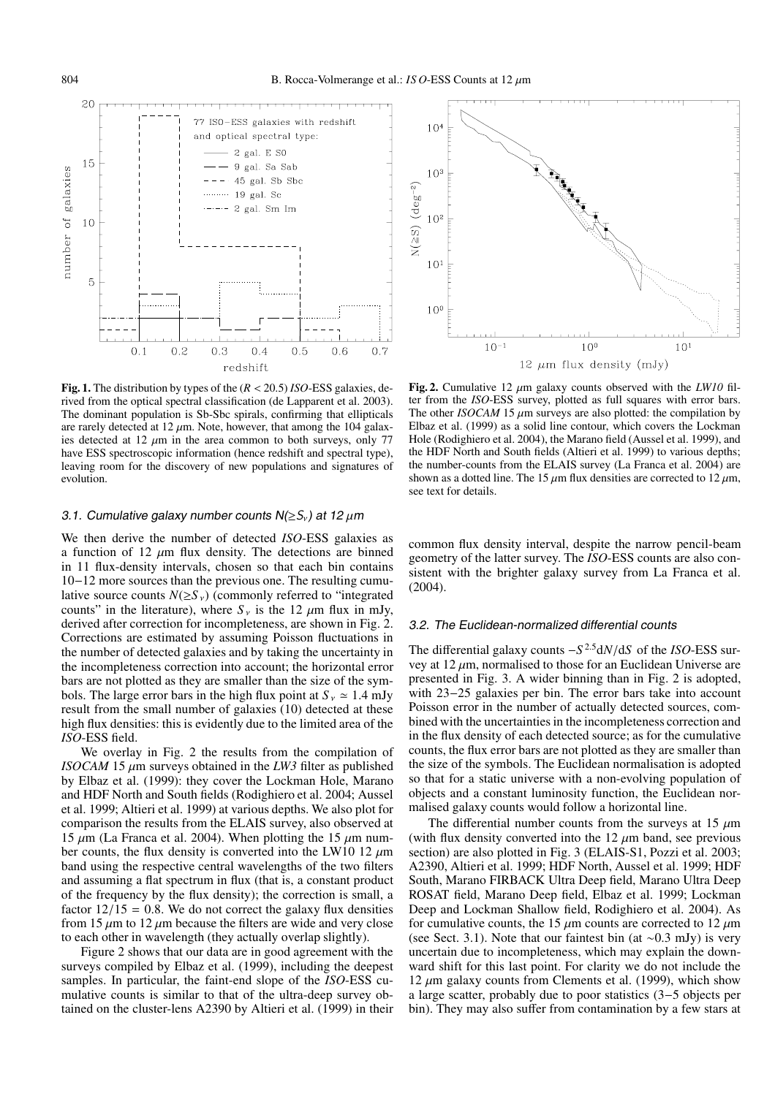

**Fig. 1.** The distribution by types of the (*R* < 20.5) *ISO*-ESS galaxies, derived from the optical spectral classification (de Lapparent et al. 2003). The dominant population is Sb-Sbc spirals, confirming that ellipticals are rarely detected at  $12 \mu m$ . Note, however, that among the 104 galaxies detected at 12  $\mu$ m in the area common to both surveys, only 77 have ESS spectroscopic information (hence redshift and spectral type), leaving room for the discovery of new populations and signatures of evolution.

#### 3.1. Cumulative galaxy number counts  $N(\geq S_v)$  at 12  $\mu$ m

We then derive the number of detected *ISO*-ESS galaxies as a function of 12  $\mu$ m flux density. The detections are binned in 11 flux-density intervals, chosen so that each bin contains 10−12 more sources than the previous one. The resulting cumulative source counts  $N(\geq S_{\nu})$  (commonly referred to "integrated") counts" in the literature), where  $S_{v}$  is the 12  $\mu$ m flux in mJy, derived after correction for incompleteness, are shown in Fig. 2. Corrections are estimated by assuming Poisson fluctuations in the number of detected galaxies and by taking the uncertainty in the incompleteness correction into account; the horizontal error bars are not plotted as they are smaller than the size of the symbols. The large error bars in the high flux point at  $S_v \approx 1.4$  mJy result from the small number of galaxies (10) detected at these high flux densities: this is evidently due to the limited area of the *ISO*-ESS field.

We overlay in Fig. 2 the results from the compilation of *ISOCAM* 15  $\mu$ m surveys obtained in the *LW3* filter as published by Elbaz et al. (1999): they cover the Lockman Hole, Marano and HDF North and South fields (Rodighiero et al. 2004; Aussel et al. 1999; Altieri et al. 1999) at various depths. We also plot for comparison the results from the ELAIS survey, also observed at 15  $\mu$ m (La Franca et al. 2004). When plotting the 15  $\mu$ m number counts, the flux density is converted into the LW10 12  $\mu$ m band using the respective central wavelengths of the two filters and assuming a flat spectrum in flux (that is, a constant product of the frequency by the flux density); the correction is small, a factor  $12/15 = 0.8$ . We do not correct the galaxy flux densities from 15  $\mu$ m to 12  $\mu$ m because the filters are wide and very close to each other in wavelength (they actually overlap slightly).

Figure 2 shows that our data are in good agreement with the surveys compiled by Elbaz et al. (1999), including the deepest samples. In particular, the faint-end slope of the *ISO*-ESS cumulative counts is similar to that of the ultra-deep survey obtained on the cluster-lens A2390 by Altieri et al. (1999) in their



**Fig. 2.** Cumulative 12  $\mu$ m galaxy counts observed with the *LW10* filter from the *ISO*-ESS survey, plotted as full squares with error bars. The other *ISOCAM* 15  $\mu$ m surveys are also plotted: the compilation by Elbaz et al. (1999) as a solid line contour, which covers the Lockman Hole (Rodighiero et al. 2004), the Marano field (Aussel et al. 1999), and the HDF North and South fields (Altieri et al. 1999) to various depths; the number-counts from the ELAIS survey (La Franca et al. 2004) are shown as a dotted line. The 15  $\mu$ m flux densities are corrected to 12  $\mu$ m, see text for details.

common flux density interval, despite the narrow pencil-beam geometry of the latter survey. The *ISO*-ESS counts are also consistent with the brighter galaxy survey from La Franca et al. (2004).

#### 3.2. The Euclidean-normalized differential counts

The differential galaxy counts <sup>−</sup>*<sup>S</sup>* <sup>2</sup>.5d*N*/d*<sup>S</sup>* of the *ISO*-ESS survey at  $12 \mu m$ , normalised to those for an Euclidean Universe are presented in Fig. 3. A wider binning than in Fig. 2 is adopted, with 23−25 galaxies per bin. The error bars take into account Poisson error in the number of actually detected sources, combined with the uncertainties in the incompleteness correction and in the flux density of each detected source; as for the cumulative counts, the flux error bars are not plotted as they are smaller than the size of the symbols. The Euclidean normalisation is adopted so that for a static universe with a non-evolving population of objects and a constant luminosity function, the Euclidean normalised galaxy counts would follow a horizontal line.

The differential number counts from the surveys at 15  $\mu$ m (with flux density converted into the  $12 \mu m$  band, see previous section) are also plotted in Fig. 3 (ELAIS-S1, Pozzi et al. 2003; A2390, Altieri et al. 1999; HDF North, Aussel et al. 1999; HDF South, Marano FIRBACK Ultra Deep field, Marano Ultra Deep ROSAT field, Marano Deep field, Elbaz et al. 1999; Lockman Deep and Lockman Shallow field, Rodighiero et al. 2004). As for cumulative counts, the 15  $\mu$ m counts are corrected to 12  $\mu$ m (see Sect. 3.1). Note that our faintest bin (at ∼0.3 mJy) is very uncertain due to incompleteness, which may explain the downward shift for this last point. For clarity we do not include the 12  $\mu$ m galaxy counts from Clements et al. (1999), which show a large scatter, probably due to poor statistics (3−5 objects per bin). They may also suffer from contamination by a few stars at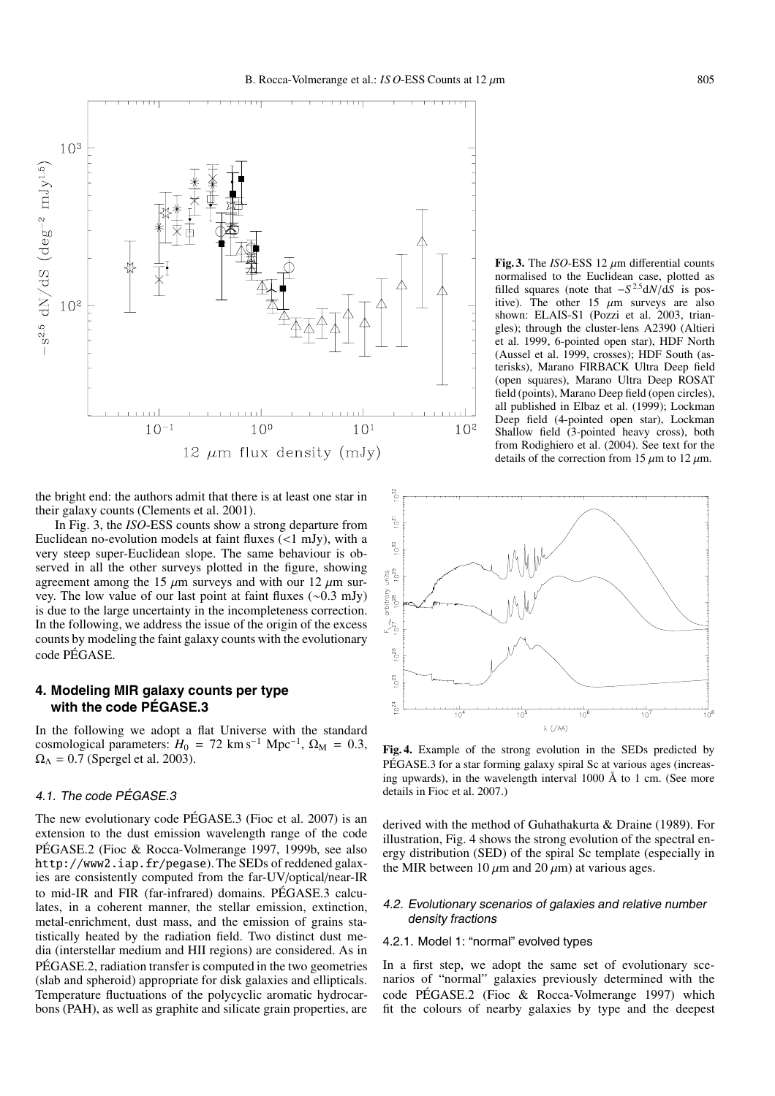

the bright end: the authors admit that there is at least one star in their galaxy counts (Clements et al. 2001).

In Fig. 3, the *ISO*-ESS counts show a strong departure from Euclidean no-evolution models at faint fluxes (<1 mJy), with a very steep super-Euclidean slope. The same behaviour is observed in all the other surveys plotted in the figure, showing agreement among the 15  $\mu$ m surveys and with our 12  $\mu$ m survey. The low value of our last point at faint fluxes (∼0.3 mJy) is due to the large uncertainty in the incompleteness correction. In the following, we address the issue of the origin of the excess counts by modeling the faint galaxy counts with the evolutionary code PÉGASE.

# **4. Modeling MIR galaxy counts per type with the code PÉGASE.3**

In the following we adopt a flat Universe with the standard cosmological parameters:  $H_0 = 72 \text{ km s}^{-1} \text{ Mpc}^{-1}$ ,  $\Omega_M = 0.3$ ,  $\Omega_{\Lambda} = 0.7$  (Spergel et al. 2003).

# 4.1. The code PÉGASE.3

The new evolutionary code PÉGASE.3 (Fioc et al. 2007) is an extension to the dust emission wavelength range of the code PÉGASE.2 (Fioc & Rocca-Volmerange 1997, 1999b, see also http://www2.iap.fr/pegase). The SEDs of reddened galaxies are consistently computed from the far-UV/optical/near-IR to mid-IR and FIR (far-infrared) domains. PÉGASE.3 calculates, in a coherent manner, the stellar emission, extinction, metal-enrichment, dust mass, and the emission of grains statistically heated by the radiation field. Two distinct dust media (interstellar medium and HII regions) are considered. As in PÉGASE.2, radiation transfer is computed in the two geometries (slab and spheroid) appropriate for disk galaxies and ellipticals. Temperature fluctuations of the polycyclic aromatic hydrocarbons (PAH), as well as graphite and silicate grain properties, are

**Fig. 3.** The *ISO*-ESS 12  $\mu$ m differential counts normalised to the Euclidean case, plotted as filled squares (note that  $-S^{2.5}dN/dS$  is positive). The other 15  $\mu$ m surveys are also shown: ELAIS-S1 (Pozzi et al. 2003, triangles); through the cluster-lens A2390 (Altieri et al. 1999, 6-pointed open star), HDF North (Aussel et al. 1999, crosses); HDF South (asterisks), Marano FIRBACK Ultra Deep field (open squares), Marano Ultra Deep ROSAT field (points), Marano Deep field (open circles), all published in Elbaz et al. (1999); Lockman Deep field (4-pointed open star), Lockman Shallow field (3-pointed heavy cross), both from Rodighiero et al. (2004). See text for the details of the correction from 15  $\mu$ m to 12  $\mu$ m.



**Fig. 4.** Example of the strong evolution in the SEDs predicted by PÉGASE.3 for a star forming galaxy spiral Sc at various ages (increasing upwards), in the wavelength interval 1000 Å to 1 cm. (See more details in Fioc et al. 2007.)

derived with the method of Guhathakurta & Draine (1989). For illustration, Fig. 4 shows the strong evolution of the spectral energy distribution (SED) of the spiral Sc template (especially in the MIR between 10  $\mu$ m and 20  $\mu$ m) at various ages.

#### 4.2. Evolutionary scenarios of galaxies and relative number density fractions

#### 4.2.1. Model 1: "normal" evolved types

In a first step, we adopt the same set of evolutionary scenarios of "normal" galaxies previously determined with the code PÉGASE.2 (Fioc & Rocca-Volmerange 1997) which fit the colours of nearby galaxies by type and the deepest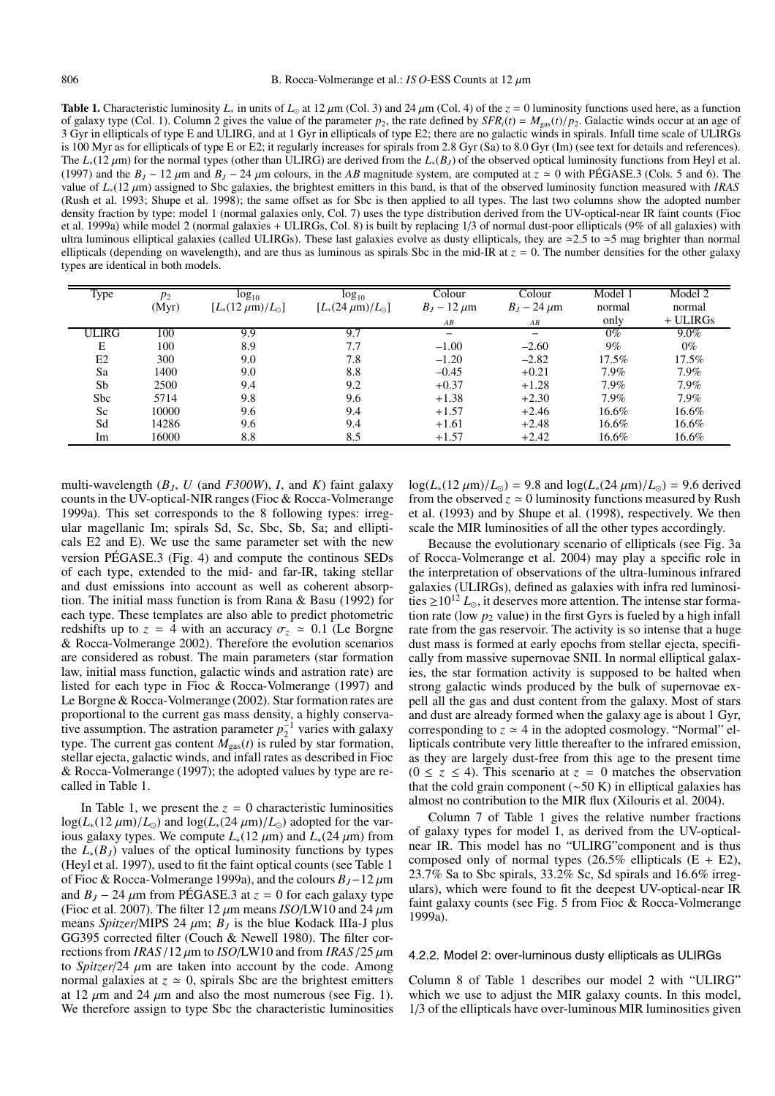**Table 1.** Characteristic luminosity  $L_*$  in units of  $L_{\odot}$  at 12  $\mu$ m (Col. 3) and 24  $\mu$ m (Col. 4) of the  $z = 0$  luminosity functions used here, as a function of galaxy type (Col. 1). Column 2 gives the value of the parameter  $p_2$ , the rate defined by  $SFR_i(t) = M_{gas}(t)/p_2$ . Galactic winds occur at an age of 3 Gyr in ellipticals of type E and ULIRG, and at 1 Gyr in ellipticals of type E2; there are no galactic winds in spirals. Infall time scale of ULIRGs is 100 Myr as for ellipticals of type E or E2; it regularly increases for spirals from 2.8 Gyr (Sa) to 8.0 Gyr (Im) (see text for details and references). The *L*<sub>∗</sub>(12 µm) for the normal types (other than ULIRG) are derived from the *L*<sub>∗</sub>(*B<sub>J</sub>*) of the observed optical luminosity functions from Heyl et al. (1997) and the  $B_J - 12 \mu$ m and  $B_J - 24 \mu$ m colours, in the *AB* magnitude system, are computed at  $z \approx 0$  with PÉGASE.3 (Cols. 5 and 6). The value of *L*∗(12 µm) assigned to Sbc galaxies, the brightest emitters in this band, is that of the observed luminosity function measured with *IRAS* (Rush et al. 1993; Shupe et al. 1998); the same offset as for Sbc is then applied to all types. The last two columns show the adopted number density fraction by type: model 1 (normal galaxies only, Col. 7) uses the type distribution derived from the UV-optical-near IR faint counts (Fioc et al. 1999a) while model 2 (normal galaxies + ULIRGs, Col. 8) is built by replacing 1/3 of normal dust-poor ellipticals (9% of all galaxies) with ultra luminous elliptical galaxies (called ULIRGs). These last galaxies evolve as dusty ellipticals, they are  $\approx$  2.5 to  $\approx$  5 mag brighter than normal ellipticals (depending on wavelength), and are thus as luminous as spirals Sbc in the mid-IR at  $z = 0$ . The number densities for the other galaxy types are identical in both models.

| <b>Type</b>     | $p_2$ | $log_{10}$                    | $log_{10}$                            | Colour           | Colour             | Model 1  | Model 2    |
|-----------------|-------|-------------------------------|---------------------------------------|------------------|--------------------|----------|------------|
|                 | (Myr) | $[L_{*}(12 \mu m)/L_{\odot}]$ | $[L_{*}(24 \,\mu\text{m})/L_{\odot}]$ | $B_1 - 12 \mu m$ | $B_J - 24 \,\mu m$ | normal   | normal     |
|                 |       |                               |                                       | AB               | AB                 | only     | $+$ ULIRGs |
| <b>ULIRG</b>    | 100   | 9.9                           | 9.7                                   |                  |                    | $0\%$    | $9.0\%$    |
| Е               | 100   | 8.9                           | 7.7                                   | $-1.00$          | $-2.60$            | $9\%$    | $0\%$      |
| E2              | 300   | 9.0                           | 7.8                                   | $-1.20$          | $-2.82$            | $17.5\%$ | $17.5\%$   |
| Sa              | 1400  | 9.0                           | 8.8                                   | $-0.45$          | $+0.21$            | $7.9\%$  | $7.9\%$    |
| Sb              | 2500  | 9.4                           | 9.2                                   | $+0.37$          | $+1.28$            | $7.9\%$  | $7.9\%$    |
| S <sub>bc</sub> | 5714  | 9.8                           | 9.6                                   | $+1.38$          | $+2.30$            | $7.9\%$  | $7.9\%$    |
| Sc              | 10000 | 9.6                           | 9.4                                   | $+1.57$          | $+2.46$            | 16.6%    | 16.6%      |
| Sd              | 14286 | 9.6                           | 9.4                                   | $+1.61$          | $+2.48$            | 16.6%    | 16.6%      |
| Im              | 16000 | 8.8                           | 8.5                                   | $+1.57$          | $+2.42$            | 16.6%    | $16.6\%$   |

multi-wavelength  $(B_J, U \text{ (and } F300W), I, \text{ and } K)$  faint galaxy counts in the UV-optical-NIR ranges (Fioc & Rocca-Volmerange 1999a). This set corresponds to the 8 following types: irregular magellanic Im; spirals Sd, Sc, Sbc, Sb, Sa; and ellipticals E2 and E). We use the same parameter set with the new version PÉGASE.3 (Fig. 4) and compute the continous SEDs of each type, extended to the mid- and far-IR, taking stellar and dust emissions into account as well as coherent absorption. The initial mass function is from Rana & Basu (1992) for each type. These templates are also able to predict photometric redshifts up to  $z = 4$  with an accuracy  $\sigma_z \approx 0.1$  (Le Borgne & Rocca-Volmerange 2002). Therefore the evolution scenarios are considered as robust. The main parameters (star formation law, initial mass function, galactic winds and astration rate) are listed for each type in Fioc & Rocca-Volmerange (1997) and Le Borgne & Rocca-Volmerange (2002). Star formation rates are proportional to the current gas mass density, a highly conservative assumption. The astration parameter  $p_2^{-1}$  varies with galaxy type. The current gas content  $M_{\text{gas}}(t)$  is ruled by star formation, stellar ejecta, galactic winds, and infall rates as described in Fioc & Rocca-Volmerange (1997); the adopted values by type are recalled in Table 1.

In Table 1, we present the  $z = 0$  characteristic luminosities  $\log(L_*(12 \mu m)/L_{\odot})$  and  $\log(L_*(24 \mu m)/L_{\odot})$  adopted for the various galaxy types. We compute  $L_*(12 \mu m)$  and  $L_*(24 \mu m)$  from the  $L_*(B_I)$  values of the optical luminosity functions by types (Heyl et al. 1997), used to fit the faint optical counts (see Table 1 of Fioc & Rocca-Volmerange 1999a), and the colours *BJ*−12 µm and  $B_I - 24 \mu m$  from PEGASE.3 at  $\zeta = 0$  for each galaxy type (Fioc et al. 2007). The filter 12  $\mu$ m means *ISO*/LW10 and 24  $\mu$ m means *Spitzer*/MIPS 24  $\mu$ m;  $B<sub>I</sub>$  is the blue Kodack IIIa-J plus GG395 corrected filter (Couch & Newell 1980). The filter corrections from *IRAS*/12 µm to *ISO*/LW10 and from *IRAS*/25 µm to *Spitzer*/24 µm are taken into account by the code. Among normal galaxies at  $z \approx 0$ , spirals Sbc are the brightest emitters at 12  $\mu$ m and 24  $\mu$ m and also the most numerous (see Fig. 1). We therefore assign to type Sbc the characteristic luminosities  $\log(L_*(12 \mu m)/L_{\odot}) = 9.8$  and  $\log(L_*(24 \mu m)/L_{\odot}) = 9.6$  derived from the observed  $z \approx 0$  luminosity functions measured by Rush et al. (1993) and by Shupe et al. (1998), respectively. We then scale the MIR luminosities of all the other types accordingly.

Because the evolutionary scenario of ellipticals (see Fig. 3a of Rocca-Volmerange et al. 2004) may play a specific role in the interpretation of observations of the ultra-luminous infrared galaxies (ULIRGs), defined as galaxies with infra red luminosities  $\geq 10^{12} L_{\odot}$ , it deserves more attention. The intense star formation rate (low  $p_2$  value) in the first Gyrs is fueled by a high infall rate from the gas reservoir. The activity is so intense that a huge dust mass is formed at early epochs from stellar ejecta, specifically from massive supernovae SNII. In normal elliptical galaxies, the star formation activity is supposed to be halted when strong galactic winds produced by the bulk of supernovae expell all the gas and dust content from the galaxy. Most of stars and dust are already formed when the galaxy age is about 1 Gyr, corresponding to  $z \approx 4$  in the adopted cosmology. "Normal" ellipticals contribute very little thereafter to the infrared emission, as they are largely dust-free from this age to the present time  $(0 \le z \le 4)$ . This scenario at  $z = 0$  matches the observation that the cold grain component (∼50 K) in elliptical galaxies has almost no contribution to the MIR flux (Xilouris et al. 2004).

Column 7 of Table 1 gives the relative number fractions of galaxy types for model 1, as derived from the UV-opticalnear IR. This model has no "ULIRG"component and is thus composed only of normal types  $(26.5\%$  ellipticals  $(E + E2)$ , 23.7% Sa to Sbc spirals, 33.2% Sc, Sd spirals and 16.6% irregulars), which were found to fit the deepest UV-optical-near IR faint galaxy counts (see Fig. 5 from Fioc & Rocca-Volmerange 1999a).

#### 4.2.2. Model 2: over-luminous dusty ellipticals as ULIRGs

Column 8 of Table 1 describes our model 2 with "ULIRG" which we use to adjust the MIR galaxy counts. In this model, 1/3 of the ellipticals have over-luminous MIR luminosities given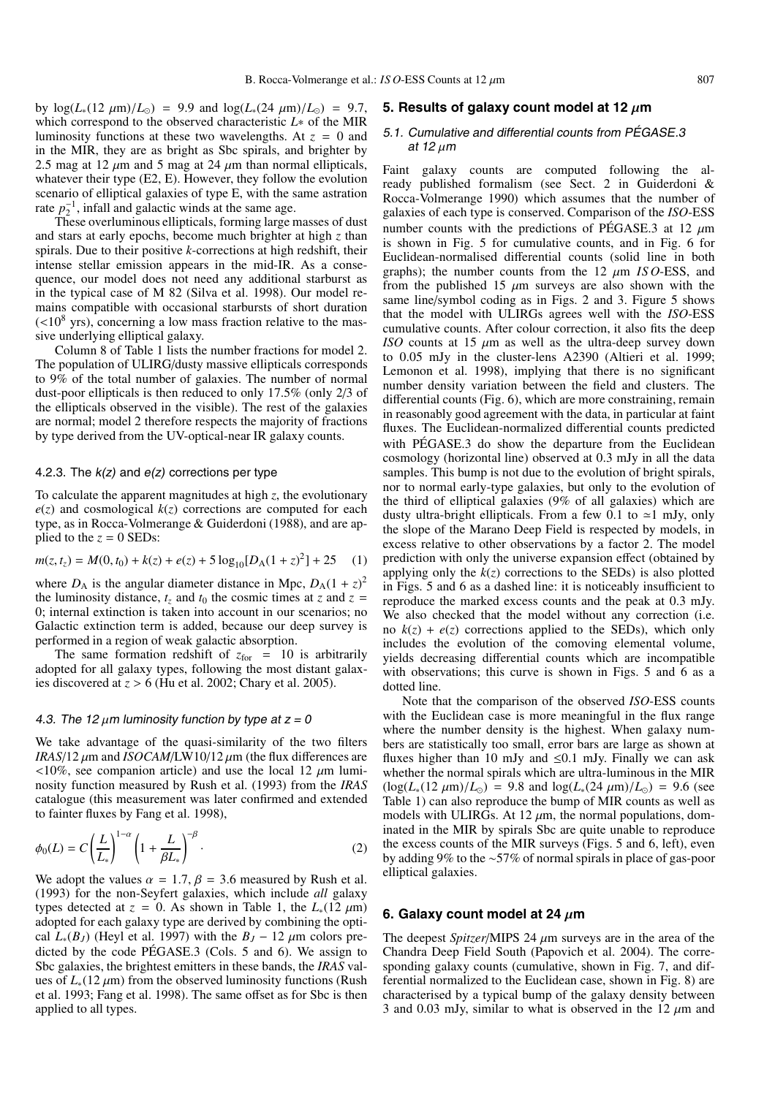by  $\log(L_*(12 \mu m)/L_{\odot}) = 9.9$  and  $\log(L_*(24 \mu m)/L_{\odot}) = 9.7$ , which correspond to the observed characteristic *L*∗ of the MIR luminosity functions at these two wavelengths. At *z* = 0 and in the MIR, they are as bright as Sbc spirals, and brighter by 2.5 mag at 12  $\mu$ m and 5 mag at 24  $\mu$ m than normal ellipticals, whatever their type (E2, E). However, they follow the evolution scenario of elliptical galaxies of type E, with the same astration rate  $p_2^{-1}$ , infall and galactic winds at the same age.

These overluminous ellipticals, forming large masses of dust and stars at early epochs, become much brighter at high *z* than spirals. Due to their positive *k*-corrections at high redshift, their intense stellar emission appears in the mid-IR. As a consequence, our model does not need any additional starburst as in the typical case of M 82 (Silva et al. 1998). Our model remains compatible with occasional starbursts of short duration  $(<10<sup>8</sup>$  yrs), concerning a low mass fraction relative to the massive underlying elliptical galaxy.

Column 8 of Table 1 lists the number fractions for model 2. The population of ULIRG/dusty massive ellipticals corresponds to 9% of the total number of galaxies. The number of normal dust-poor ellipticals is then reduced to only 17.5% (only 2/3 of the ellipticals observed in the visible). The rest of the galaxies are normal; model 2 therefore respects the majority of fractions by type derived from the UV-optical-near IR galaxy counts.

#### 4.2.3. The  $k(z)$  and  $e(z)$  corrections per type

To calculate the apparent magnitudes at high *z*, the evolutionary  $e(z)$  and cosmological  $k(z)$  corrections are computed for each type, as in Rocca-Volmerange & Guiderdoni (1988), and are applied to the  $z = 0$  SEDs:

$$
m(z, t_z) = M(0, t_0) + k(z) + e(z) + 5\log_{10}[D_{A}(1+z)^{2}] + 25 \quad (1)
$$

where  $D_A$  is the angular diameter distance in Mpc,  $D_A(1+z)^2$ the luminosity distance,  $t_z$  and  $t_0$  the cosmic times at  $z$  and  $z =$ 0; internal extinction is taken into account in our scenarios; no Galactic extinction term is added, because our deep survey is performed in a region of weak galactic absorption.

The same formation redshift of  $z_{\text{for}} = 10$  is arbitrarily adopted for all galaxy types, following the most distant galaxies discovered at  $z > 6$  (Hu et al. 2002; Chary et al. 2005).

#### 4.3. The 12  $\mu$ m luminosity function by type at  $z = 0$

We take advantage of the quasi-similarity of the two filters *IRAS*/12  $\mu$ m and *ISOCAM*/LW10/12  $\mu$ m (the flux differences are  $\langle 10\%$ , see companion article) and use the local 12  $\mu$ m luminosity function measured by Rush et al. (1993) from the *IRAS* catalogue (this measurement was later confirmed and extended to fainter fluxes by Fang et al. 1998),

$$
\phi_0(L) = C \left(\frac{L}{L_*}\right)^{1-\alpha} \left(1 + \frac{L}{\beta L_*}\right)^{-\beta}.
$$
\n(2)

We adopt the values  $\alpha = 1.7$ ,  $\beta = 3.6$  measured by Rush et al. (1993) for the non-Seyfert galaxies, which include *all* galaxy types detected at  $z = 0$ . As shown in Table 1, the  $L_*(12 \mu m)$ adopted for each galaxy type are derived by combining the optical  $L_*(B_J)$  (Heyl et al. 1997) with the  $B_J - 12 \mu m$  colors predicted by the code PÉGASE.3 (Cols. 5 and 6). We assign to Sbc galaxies, the brightest emitters in these bands, the *IRAS* values of  $L_*(12 \mu m)$  from the observed luminosity functions (Rush et al. 1993; Fang et al. 1998). The same offset as for Sbc is then applied to all types.

#### **5. Results of galaxy count model at 12** µ**m**

# 5.1. Cumulative and differential counts from PÉGASE.3 at 12  $\mu$ m

Faint galaxy counts are computed following the already published formalism (see Sect. 2 in Guiderdoni & Rocca-Volmerange 1990) which assumes that the number of galaxies of each type is conserved. Comparison of the *ISO*-ESS number counts with the predictions of PÉGASE.3 at 12  $\mu$ m is shown in Fig. 5 for cumulative counts, and in Fig. 6 for Euclidean-normalised differential counts (solid line in both graphs); the number counts from the  $12 \mu m$  *ISO*-ESS, and from the published 15  $\mu$ m surveys are also shown with the same line/symbol coding as in Figs. 2 and 3. Figure 5 shows that the model with ULIRGs agrees well with the *ISO*-ESS cumulative counts. After colour correction, it also fits the deep *ISO* counts at 15  $\mu$ m as well as the ultra-deep survey down to 0.05 mJy in the cluster-lens A2390 (Altieri et al. 1999; Lemonon et al. 1998), implying that there is no significant number density variation between the field and clusters. The differential counts (Fig. 6), which are more constraining, remain in reasonably good agreement with the data, in particular at faint fluxes. The Euclidean-normalized differential counts predicted with PÉGASE.3 do show the departure from the Euclidean cosmology (horizontal line) observed at 0.3 mJy in all the data samples. This bump is not due to the evolution of bright spirals, nor to normal early-type galaxies, but only to the evolution of the third of elliptical galaxies (9% of all galaxies) which are dusty ultra-bright ellipticals. From a few 0.1 to  $\approx$ 1 mJy, only the slope of the Marano Deep Field is respected by models, in excess relative to other observations by a factor 2. The model prediction with only the universe expansion effect (obtained by applying only the  $k(z)$  corrections to the SEDs) is also plotted in Figs. 5 and 6 as a dashed line: it is noticeably insufficient to reproduce the marked excess counts and the peak at 0.3 mJy. We also checked that the model without any correction (i.e. no  $k(z) + e(z)$  corrections applied to the SEDs), which only includes the evolution of the comoving elemental volume, yields decreasing differential counts which are incompatible with observations; this curve is shown in Figs. 5 and 6 as a dotted line.

Note that the comparison of the observed *ISO*-ESS counts with the Euclidean case is more meaningful in the flux range where the number density is the highest. When galaxy numbers are statistically too small, error bars are large as shown at fluxes higher than 10 mJy and  $\leq 0.1$  mJy. Finally we can ask whether the normal spirals which are ultra-luminous in the MIR  $(\log(L_*(12 \mu m)/L_{\odot}) = 9.8$  and  $\log(L_*(24 \mu m)/L_{\odot}) = 9.6$  (see Table 1) can also reproduce the bump of MIR counts as well as models with ULIRGs. At 12  $\mu$ m, the normal populations, dominated in the MIR by spirals Sbc are quite unable to reproduce the excess counts of the MIR surveys (Figs. 5 and 6, left), even by adding 9% to the ∼57% of normal spirals in place of gas-poor elliptical galaxies.

#### **6. Galaxy count model at 24** µ**m**

The deepest *Spitzer*/MIPS 24  $\mu$ m surveys are in the area of the Chandra Deep Field South (Papovich et al. 2004). The corresponding galaxy counts (cumulative, shown in Fig. 7, and differential normalized to the Euclidean case, shown in Fig. 8) are characterised by a typical bump of the galaxy density between 3 and 0.03 mJy, similar to what is observed in the 12  $\mu$ m and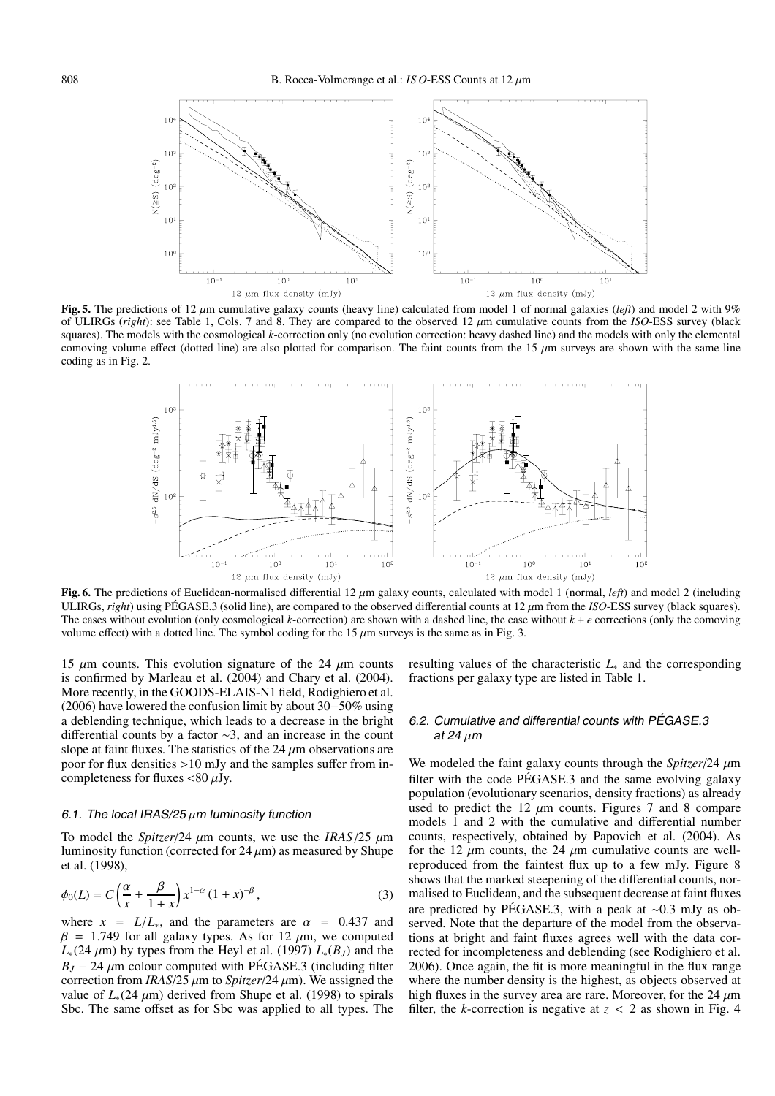

**Fig. 5.** The predictions of 12  $\mu$ m cumulative galaxy counts (heavy line) calculated from model 1 of normal galaxies (*left*) and model 2 with 9% of ULIRGs (*right*): see Table 1, Cols. 7 and 8. They are compared to the observed 12 µm cumulative counts from the *ISO*-ESS survey (black squares). The models with the cosmological *k*-correction only (no evolution correction: heavy dashed line) and the models with only the elemental comoving volume effect (dotted line) are also plotted for comparison. The faint counts from the 15  $\mu$ m surveys are shown with the same line coding as in Fig. 2.



**Fig. 6.** The predictions of Euclidean-normalised differential 12  $\mu$ m galaxy counts, calculated with model 1 (normal, *left*) and model 2 (including ULIRGs, *right*) using PÉGASE.3 (solid line), are compared to the observed differential counts at 12  $\mu$ m from the *ISO*-ESS survey (black squares). The cases without evolution (only cosmological *k*-correction) are shown with a dashed line, the case without  $k + e$  corrections (only the comoving volume effect) with a dotted line. The symbol coding for the 15  $\mu$ m surveys is the same as in Fig. 3.

15  $\mu$ m counts. This evolution signature of the 24  $\mu$ m counts is confirmed by Marleau et al. (2004) and Chary et al. (2004). More recently, in the GOODS-ELAIS-N1 field, Rodighiero et al. (2006) have lowered the confusion limit by about 30−50% using a deblending technique, which leads to a decrease in the bright differential counts by a factor ∼3, and an increase in the count slope at faint fluxes. The statistics of the 24  $\mu$ m observations are poor for flux densities >10 mJy and the samples suffer from incompleteness for fluxes  $\langle 80 \mu Jy. \rangle$ 

#### 6.1. The local IRAS/25  $\mu$ m luminosity function

To model the *Spitzer*/24  $\mu$ m counts, we use the *IRAS*/25  $\mu$ m luminosity function (corrected for  $24 \mu m$ ) as measured by Shupe et al. (1998),

$$
\phi_0(L) = C\left(\frac{\alpha}{x} + \frac{\beta}{1+x}\right)x^{1-\alpha}(1+x)^{-\beta},\tag{3}
$$

where  $x = L/L_*$ , and the parameters are  $\alpha = 0.437$  and  $β = 1.749$  for all galaxy types. As for 12 μm, we computed  $L_*(24 \mu m)$  by types from the Heyl et al. (1997)  $L_*(B_J)$  and the  $B_J - 24 \mu$ m colour computed with PÉGASE.3 (including filter correction from *IRAS*/25  $\mu$ m to *Spitzer*/24  $\mu$ m). We assigned the value of  $L_*(24 \mu m)$  derived from Shupe et al. (1998) to spirals Sbc. The same offset as for Sbc was applied to all types. The

resulting values of the characteristic *L*<sup>∗</sup> and the corresponding fractions per galaxy type are listed in Table 1.

# 6.2. Cumulative and differential counts with PÉGASE.3 at 24  $\mu$ m

We modeled the faint galaxy counts through the *Spitzer*/24 µm filter with the code PÉGASE.3 and the same evolving galaxy population (evolutionary scenarios, density fractions) as already used to predict the 12  $\mu$ m counts. Figures 7 and 8 compare models 1 and 2 with the cumulative and differential number counts, respectively, obtained by Papovich et al. (2004). As for the 12  $\mu$ m counts, the 24  $\mu$ m cumulative counts are wellreproduced from the faintest flux up to a few mJy. Figure 8 shows that the marked steepening of the differential counts, normalised to Euclidean, and the subsequent decrease at faint fluxes are predicted by PÉGASE.3, with a peak at ∼0.3 mJy as observed. Note that the departure of the model from the observations at bright and faint fluxes agrees well with the data corrected for incompleteness and deblending (see Rodighiero et al. 2006). Once again, the fit is more meaningful in the flux range where the number density is the highest, as objects observed at high fluxes in the survey area are rare. Moreover, for the 24  $\mu$ m filter, the *k*-correction is negative at  $z < 2$  as shown in Fig. 4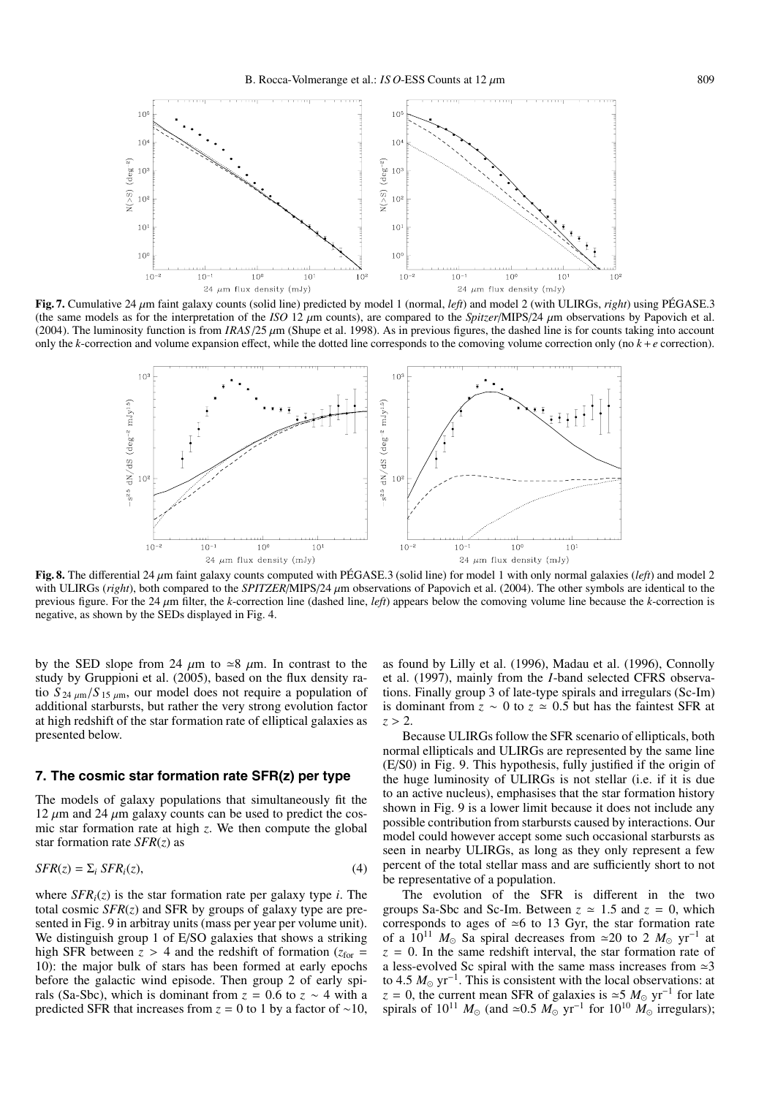

**Fig. 7.** Cumulative 24 µm faint galaxy counts (solid line) predicted by model 1 (normal, *left*) and model 2 (with ULIRGs, *right*) using PÉGASE.3 (the same models as for the interpretation of the *ISO* 12  $\mu$ m counts), are compared to the *Spitzer*/MIPS/24  $\mu$ m observations by Papovich et al. (2004). The luminosity function is from  $IRAS/25 \mu m$  (Shupe et al. 1998). As in previous figures, the dashed line is for counts taking into account only the *k*-correction and volume expansion effect, while the dotted line corresponds to the comoving volume correction only (no  $k + e$  correction).



Fig. 8. The differential 24  $\mu$ m faint galaxy counts computed with PÉGASE.3 (solid line) for model 1 with only normal galaxies (*left*) and model 2 with ULIRGs (*right*), both compared to the *SPITZER*/MIPS/24 µm observations of Papovich et al. (2004). The other symbols are identical to the previous figure. For the 24 µm filter, the *k*-correction line (dashed line, *left*) appears below the comoving volume line because the *k*-correction is negative, as shown by the SEDs displayed in Fig. 4.

by the SED slope from 24  $\mu$ m to  $\approx 8 \mu$ m. In contrast to the study by Gruppioni et al. (2005), based on the flux density ratio  $S_{24 \mu m}/S_{15 \mu m}$ , our model does not require a population of additional starbursts, but rather the very strong evolution factor at high redshift of the star formation rate of elliptical galaxies as presented below.

# **7. The cosmic star formation rate SFR(z) per type**

The models of galaxy populations that simultaneously fit the  $12 \mu m$  and  $24 \mu m$  galaxy counts can be used to predict the cosmic star formation rate at high *z*. We then compute the global star formation rate *SFR*(*z*) as

$$
SFR(z) = \Sigma_i SFR_i(z),\tag{4}
$$

where  $SFR_i(z)$  is the star formation rate per galaxy type *i*. The total cosmic *SFR*(*z*) and SFR by groups of galaxy type are presented in Fig. 9 in arbitray units (mass per year per volume unit). We distinguish group 1 of E/SO galaxies that shows a striking high SFR between  $z > 4$  and the redshift of formation ( $z_{\text{for}} =$ 10): the major bulk of stars has been formed at early epochs before the galactic wind episode. Then group 2 of early spirals (Sa-Sbc), which is dominant from  $z = 0.6$  to  $z \sim 4$  with a predicted SFR that increases from  $z = 0$  to 1 by a factor of ~10,

as found by Lilly et al. (1996), Madau et al. (1996), Connolly et al. (1997), mainly from the *I*-band selected CFRS observations. Finally group 3 of late-type spirals and irregulars (Sc-Im) is dominant from  $\overline{z} \sim 0$  to  $\overline{z} \approx 0.5$  but has the faintest SFR at  $z > 2$ .

Because ULIRGs follow the SFR scenario of ellipticals, both normal ellipticals and ULIRGs are represented by the same line (E/S0) in Fig. 9. This hypothesis, fully justified if the origin of the huge luminosity of ULIRGs is not stellar (i.e. if it is due to an active nucleus), emphasises that the star formation history shown in Fig. 9 is a lower limit because it does not include any possible contribution from starbursts caused by interactions. Our model could however accept some such occasional starbursts as seen in nearby ULIRGs, as long as they only represent a few percent of the total stellar mass and are sufficiently short to not be representative of a population.

The evolution of the SFR is different in the two groups Sa-Sbc and Sc-Im. Between  $z \approx 1.5$  and  $z = 0$ , which corresponds to ages of  $\approx$  6 to 13 Gyr, the star formation rate of a  $10^{11}$  *M*<sub> $\odot$ </sub> Sa spiral decreases from ≃20 to 2 *M*<sub> $\odot$ </sub> yr<sup>-1</sup> at  $z = 0$ . In the same redshift interval, the star formation rate of a less-evolved Sc spiral with the same mass increases from  $\approx$ 3 to 4.5  $M_{\odot}$  yr<sup>-1</sup>. This is consistent with the local observations: at  $z = 0$ , the current mean SFR of galaxies is  $\approx$  5  $M_{\odot}$  yr<sup>−1</sup> for late spirals of  $10^{11}$  *M*<sub>☉</sub> (and  $\simeq 0.5$  *M*<sub>☉</sub> yr<sup>-1</sup> for  $10^{10}$  *M*<sub>☉</sub> irregulars);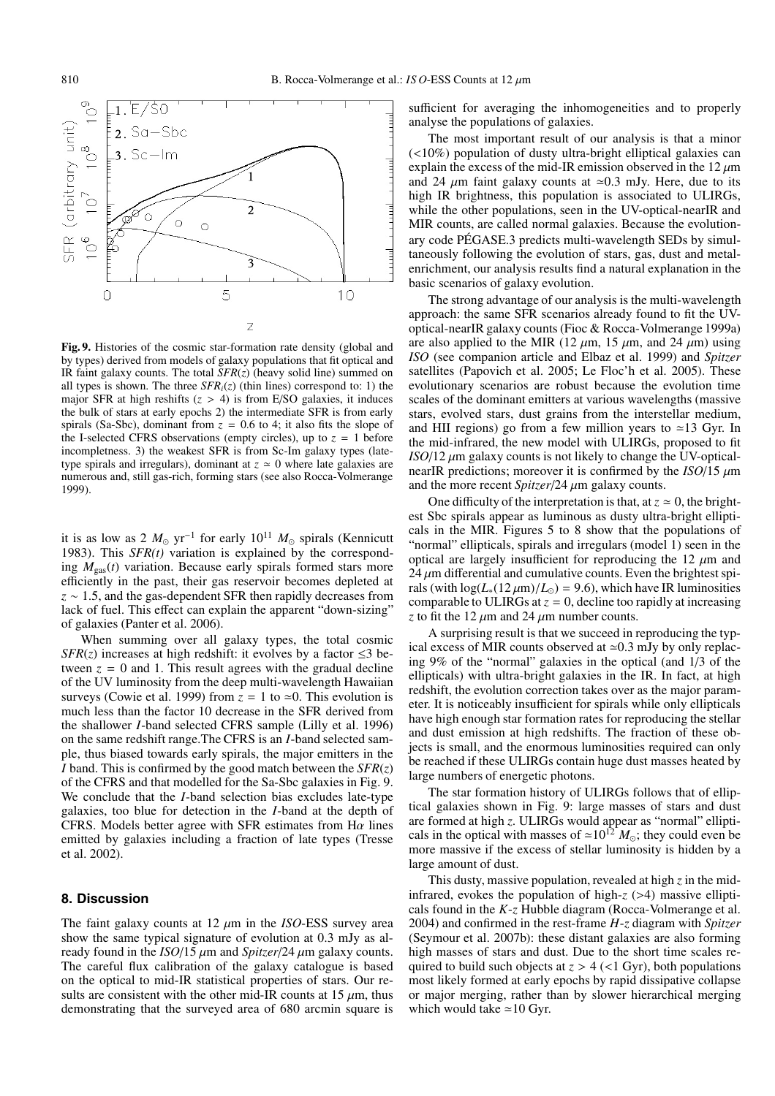

**Fig. 9.** Histories of the cosmic star-formation rate density (global and by types) derived from models of galaxy populations that fit optical and IR faint galaxy counts. The total *SFR*(*z*) (heavy solid line) summed on all types is shown. The three  $SFR_i(z)$  (thin lines) correspond to: 1) the major SFR at high reshifts  $(z > 4)$  is from E/SO galaxies, it induces the bulk of stars at early epochs 2) the intermediate SFR is from early spirals (Sa-Sbc), dominant from  $z = 0.6$  to 4; it also fits the slope of the I-selected CFRS observations (empty circles), up to  $z = 1$  before incompletness. 3) the weakest SFR is from Sc-Im galaxy types (latetype spirals and irregulars), dominant at  $z \approx 0$  where late galaxies are numerous and, still gas-rich, forming stars (see also Rocca-Volmerange 1999).

it is as low as 2  $M_{\odot}$  yr<sup>-1</sup> for early 10<sup>11</sup>  $M_{\odot}$  spirals (Kennicutt 1983). This *SFR(t)* variation is explained by the corresponding  $M_{\text{gas}}(t)$  variation. Because early spirals formed stars more efficiently in the past, their gas reservoir becomes depleted at *z* ∼ 1.5, and the gas-dependent SFR then rapidly decreases from lack of fuel. This effect can explain the apparent "down-sizing" of galaxies (Panter et al. 2006).

When summing over all galaxy types, the total cosmic *SFR(z)* increases at high redshift: it evolves by a factor  $\leq$ 3 between  $z = 0$  and 1. This result agrees with the gradual decline of the UV luminosity from the deep multi-wavelength Hawaiian surveys (Cowie et al. 1999) from  $z = 1$  to  $\approx 0$ . This evolution is much less than the factor 10 decrease in the SFR derived from the shallower *I*-band selected CFRS sample (Lilly et al. 1996) on the same redshift range.The CFRS is an *I*-band selected sample, thus biased towards early spirals, the major emitters in the *I* band. This is confirmed by the good match between the *SFR*(*z*) of the CFRS and that modelled for the Sa-Sbc galaxies in Fig. 9. We conclude that the *I*-band selection bias excludes late-type galaxies, too blue for detection in the *I*-band at the depth of CFRS. Models better agree with SFR estimates from H $\alpha$  lines emitted by galaxies including a fraction of late types (Tresse et al. 2002).

#### **8. Discussion**

The faint galaxy counts at  $12 \mu m$  in the *ISO*-ESS survey area show the same typical signature of evolution at 0.3 mJy as already found in the *ISO*/15 µm and *Spitzer*/24 µm galaxy counts. The careful flux calibration of the galaxy catalogue is based on the optical to mid-IR statistical properties of stars. Our results are consistent with the other mid-IR counts at 15  $\mu$ m, thus demonstrating that the surveyed area of 680 arcmin square is

sufficient for averaging the inhomogeneities and to properly analyse the populations of galaxies.

The most important result of our analysis is that a minor (<10%) population of dusty ultra-bright elliptical galaxies can explain the excess of the mid-IR emission observed in the  $12 \mu m$ and 24  $\mu$ m faint galaxy counts at  $\approx 0.3$  mJy. Here, due to its high IR brightness, this population is associated to ULIRGs, while the other populations, seen in the UV-optical-nearIR and MIR counts, are called normal galaxies. Because the evolutionary code PÉGASE.3 predicts multi-wavelength SEDs by simultaneously following the evolution of stars, gas, dust and metalenrichment, our analysis results find a natural explanation in the basic scenarios of galaxy evolution.

The strong advantage of our analysis is the multi-wavelength approach: the same SFR scenarios already found to fit the UVoptical-nearIR galaxy counts (Fioc & Rocca-Volmerange 1999a) are also applied to the MIR (12  $\mu$ m, 15  $\mu$ m, and 24  $\mu$ m) using *ISO* (see companion article and Elbaz et al. 1999) and *Spitzer* satellites (Papovich et al. 2005; Le Floc'h et al. 2005). These evolutionary scenarios are robust because the evolution time scales of the dominant emitters at various wavelengths (massive stars, evolved stars, dust grains from the interstellar medium, and HII regions) go from a few million years to  $\simeq$  13 Gyr. In the mid-infrared, the new model with ULIRGs, proposed to fit  *galaxy counts is not likely to change the UV-optical*nearIR predictions; moreover it is confirmed by the  $ISO/15 \mu m$ and the more recent *Spitzer*/24 µm galaxy counts.

One difficulty of the interpretation is that, at  $z \approx 0$ , the brightest Sbc spirals appear as luminous as dusty ultra-bright ellipticals in the MIR. Figures 5 to 8 show that the populations of "normal" ellipticals, spirals and irregulars (model 1) seen in the optical are largely insufficient for reproducing the 12  $\mu$ m and  $24 \mu$ m differential and cumulative counts. Even the brightest spirals (with  $\log(L_*(12 \mu m)/L_{\odot}) = 9.6$ ), which have IR luminosities comparable to ULIRGs at  $z = 0$ , decline too rapidly at increasing *z* to fit the 12  $\mu$ m and 24  $\mu$ m number counts.

A surprising result is that we succeed in reproducing the typical excess of MIR counts observed at  $\approx 0.3$  mJy by only replacing 9% of the "normal" galaxies in the optical (and 1/3 of the ellipticals) with ultra-bright galaxies in the IR. In fact, at high redshift, the evolution correction takes over as the major parameter. It is noticeably insufficient for spirals while only ellipticals have high enough star formation rates for reproducing the stellar and dust emission at high redshifts. The fraction of these objects is small, and the enormous luminosities required can only be reached if these ULIRGs contain huge dust masses heated by large numbers of energetic photons.

The star formation history of ULIRGs follows that of elliptical galaxies shown in Fig. 9: large masses of stars and dust are formed at high *z*. ULIRGs would appear as "normal" ellipticals in the optical with masses of  $\approx 10^{12} M_{\odot}$ ; they could even be more massive if the excess of stellar luminosity is hidden by a large amount of dust.

This dusty, massive population, revealed at high *z* in the midinfrared, evokes the population of high-*z* (>4) massive ellipticals found in the *K*-*z* Hubble diagram (Rocca-Volmerange et al. 2004) and confirmed in the rest-frame *H*-*z* diagram with *Spitzer* (Seymour et al. 2007b): these distant galaxies are also forming high masses of stars and dust. Due to the short time scales required to build such objects at  $z > 4$  (<1 Gyr), both populations most likely formed at early epochs by rapid dissipative collapse or major merging, rather than by slower hierarchical merging which would take  $\simeq$  10 Gyr.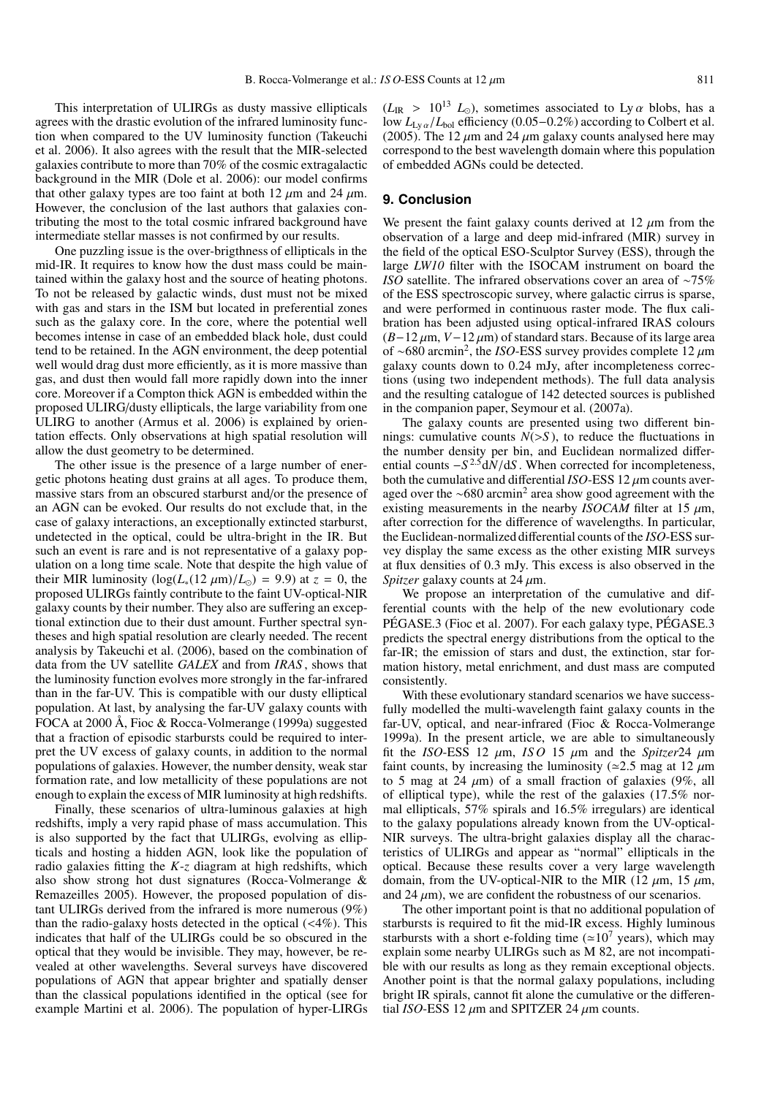This interpretation of ULIRGs as dusty massive ellipticals agrees with the drastic evolution of the infrared luminosity function when compared to the UV luminosity function (Takeuchi et al. 2006). It also agrees with the result that the MIR-selected galaxies contribute to more than 70% of the cosmic extragalactic background in the MIR (Dole et al. 2006): our model confirms that other galaxy types are too faint at both 12  $\mu$ m and 24  $\mu$ m. However, the conclusion of the last authors that galaxies contributing the most to the total cosmic infrared background have intermediate stellar masses is not confirmed by our results.

One puzzling issue is the over-brigthness of ellipticals in the mid-IR. It requires to know how the dust mass could be maintained within the galaxy host and the source of heating photons. To not be released by galactic winds, dust must not be mixed with gas and stars in the ISM but located in preferential zones such as the galaxy core. In the core, where the potential well becomes intense in case of an embedded black hole, dust could tend to be retained. In the AGN environment, the deep potential well would drag dust more efficiently, as it is more massive than gas, and dust then would fall more rapidly down into the inner core. Moreover if a Compton thick AGN is embedded within the proposed ULIRG/dusty ellipticals, the large variability from one ULIRG to another (Armus et al. 2006) is explained by orientation effects. Only observations at high spatial resolution will allow the dust geometry to be determined.

The other issue is the presence of a large number of energetic photons heating dust grains at all ages. To produce them, massive stars from an obscured starburst and/or the presence of an AGN can be evoked. Our results do not exclude that, in the case of galaxy interactions, an exceptionally extincted starburst, undetected in the optical, could be ultra-bright in the IR. But such an event is rare and is not representative of a galaxy population on a long time scale. Note that despite the high value of their MIR luminosity  $(\log(L_*(12 \mu m)/L_{\odot}) = 9.9)$  at  $z = 0$ , the proposed ULIRGs faintly contribute to the faint UV-optical-NIR galaxy counts by their number. They also are suffering an exceptional extinction due to their dust amount. Further spectral syntheses and high spatial resolution are clearly needed. The recent analysis by Takeuchi et al. (2006), based on the combination of data from the UV satellite *GALEX* and from *IRAS* , shows that the luminosity function evolves more strongly in the far-infrared than in the far-UV. This is compatible with our dusty elliptical population. At last, by analysing the far-UV galaxy counts with FOCA at 2000 Å, Fioc & Rocca-Volmerange (1999a) suggested that a fraction of episodic starbursts could be required to interpret the UV excess of galaxy counts, in addition to the normal populations of galaxies. However, the number density, weak star formation rate, and low metallicity of these populations are not enough to explain the excess of MIR luminosity at high redshifts.

Finally, these scenarios of ultra-luminous galaxies at high redshifts, imply a very rapid phase of mass accumulation. This is also supported by the fact that ULIRGs, evolving as ellipticals and hosting a hidden AGN, look like the population of radio galaxies fitting the *K*-*z* diagram at high redshifts, which also show strong hot dust signatures (Rocca-Volmerange & Remazeilles 2005). However, the proposed population of distant ULIRGs derived from the infrared is more numerous (9%) than the radio-galaxy hosts detected in the optical  $(\langle 4\% \rangle)$ . This indicates that half of the ULIRGs could be so obscured in the optical that they would be invisible. They may, however, be revealed at other wavelengths. Several surveys have discovered populations of AGN that appear brighter and spatially denser than the classical populations identified in the optical (see for example Martini et al. 2006). The population of hyper-LIRGs

 $(L_{\text{IR}} > 10^{13} L_{\odot})$ , sometimes associated to Ly  $\alpha$  blobs, has a low *L*Ly α/*L*bol efficiency (0.05−0.2%) according to Colbert et al. (2005). The 12  $\mu$ m and 24  $\mu$ m galaxy counts analysed here may correspond to the best wavelength domain where this population of embedded AGNs could be detected.

# **9. Conclusion**

We present the faint galaxy counts derived at  $12 \mu m$  from the observation of a large and deep mid-infrared (MIR) survey in the field of the optical ESO-Sculptor Survey (ESS), through the large *LW10* filter with the ISOCAM instrument on board the *ISO* satellite. The infrared observations cover an area of ∼75% of the ESS spectroscopic survey, where galactic cirrus is sparse, and were performed in continuous raster mode. The flux calibration has been adjusted using optical-infrared IRAS colours  $(B-12 \mu m, V-12 \mu m)$  of standard stars. Because of its large area of ∼680 arcmin2, the *ISO*-ESS survey provides complete 12 µm galaxy counts down to 0.24 mJy, after incompleteness corrections (using two independent methods). The full data analysis and the resulting catalogue of 142 detected sources is published in the companion paper, Seymour et al. (2007a).

The galaxy counts are presented using two different binnings: cumulative counts  $N(>S)$ , to reduce the fluctuations in the number density per bin, and Euclidean normalized differential counts  $-S^{2.5}d\tilde{N}/dS$ . When corrected for incompleteness, both the cumulative and differential  $ISO$ -ESS 12  $\mu$ m counts averaged over the ∼680 arcmin<sup>2</sup> area show good agreement with the existing measurements in the nearby *ISOCAM* filter at 15  $\mu$ m, after correction for the difference of wavelengths. In particular, the Euclidean-normalized differential counts of the *ISO*-ESS survey display the same excess as the other existing MIR surveys at flux densities of 0.3 mJy. This excess is also observed in the *Spitzer* galaxy counts at 24  $\mu$ m.

We propose an interpretation of the cumulative and differential counts with the help of the new evolutionary code PÉGASE.3 (Fioc et al. 2007). For each galaxy type, PÉGASE.3 predicts the spectral energy distributions from the optical to the far-IR; the emission of stars and dust, the extinction, star formation history, metal enrichment, and dust mass are computed consistently.

With these evolutionary standard scenarios we have successfully modelled the multi-wavelength faint galaxy counts in the far-UV, optical, and near-infrared (Fioc & Rocca-Volmerange 1999a). In the present article, we are able to simultaneously fit the *ISO*-ESS 12  $\mu$ m, *ISO* 15  $\mu$ m and the *Spitzer*24  $\mu$ m faint counts, by increasing the luminosity ( $\approx$ 2.5 mag at 12  $\mu$ m to 5 mag at 24  $\mu$ m) of a small fraction of galaxies (9%, all of elliptical type), while the rest of the galaxies (17.5% normal ellipticals, 57% spirals and 16.5% irregulars) are identical to the galaxy populations already known from the UV-optical-NIR surveys. The ultra-bright galaxies display all the characteristics of ULIRGs and appear as "normal" ellipticals in the optical. Because these results cover a very large wavelength domain, from the UV-optical-NIR to the MIR (12  $\mu$ m, 15  $\mu$ m, and 24  $\mu$ m), we are confident the robustness of our scenarios.

The other important point is that no additional population of starbursts is required to fit the mid-IR excess. Highly luminous starbursts with a short e-folding time ( $\approx 10^7$  years), which may explain some nearby ULIRGs such as M 82, are not incompatible with our results as long as they remain exceptional objects. Another point is that the normal galaxy populations, including bright IR spirals, cannot fit alone the cumulative or the differential *ISO*-ESS 12  $\mu$ m and SPITZER 24  $\mu$ m counts.